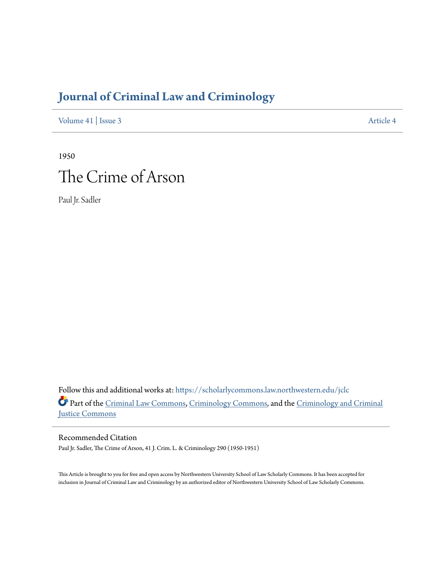# **[Journal of Criminal Law and Criminology](https://scholarlycommons.law.northwestern.edu/jclc?utm_source=scholarlycommons.law.northwestern.edu%2Fjclc%2Fvol41%2Fiss3%2F4&utm_medium=PDF&utm_campaign=PDFCoverPages)**

[Volume 41](https://scholarlycommons.law.northwestern.edu/jclc/vol41?utm_source=scholarlycommons.law.northwestern.edu%2Fjclc%2Fvol41%2Fiss3%2F4&utm_medium=PDF&utm_campaign=PDFCoverPages) | [Issue 3](https://scholarlycommons.law.northwestern.edu/jclc/vol41/iss3?utm_source=scholarlycommons.law.northwestern.edu%2Fjclc%2Fvol41%2Fiss3%2F4&utm_medium=PDF&utm_campaign=PDFCoverPages) [Article 4](https://scholarlycommons.law.northwestern.edu/jclc/vol41/iss3/4?utm_source=scholarlycommons.law.northwestern.edu%2Fjclc%2Fvol41%2Fiss3%2F4&utm_medium=PDF&utm_campaign=PDFCoverPages)

1950 The Crime of Arson

Paul Jr. Sadler

Follow this and additional works at: [https://scholarlycommons.law.northwestern.edu/jclc](https://scholarlycommons.law.northwestern.edu/jclc?utm_source=scholarlycommons.law.northwestern.edu%2Fjclc%2Fvol41%2Fiss3%2F4&utm_medium=PDF&utm_campaign=PDFCoverPages) Part of the [Criminal Law Commons](http://network.bepress.com/hgg/discipline/912?utm_source=scholarlycommons.law.northwestern.edu%2Fjclc%2Fvol41%2Fiss3%2F4&utm_medium=PDF&utm_campaign=PDFCoverPages), [Criminology Commons](http://network.bepress.com/hgg/discipline/417?utm_source=scholarlycommons.law.northwestern.edu%2Fjclc%2Fvol41%2Fiss3%2F4&utm_medium=PDF&utm_campaign=PDFCoverPages), and the [Criminology and Criminal](http://network.bepress.com/hgg/discipline/367?utm_source=scholarlycommons.law.northwestern.edu%2Fjclc%2Fvol41%2Fiss3%2F4&utm_medium=PDF&utm_campaign=PDFCoverPages) [Justice Commons](http://network.bepress.com/hgg/discipline/367?utm_source=scholarlycommons.law.northwestern.edu%2Fjclc%2Fvol41%2Fiss3%2F4&utm_medium=PDF&utm_campaign=PDFCoverPages)

Recommended Citation

Paul Jr. Sadler, The Crime of Arson, 41 J. Crim. L. & Criminology 290 (1950-1951)

This Article is brought to you for free and open access by Northwestern University School of Law Scholarly Commons. It has been accepted for inclusion in Journal of Criminal Law and Criminology by an authorized editor of Northwestern University School of Law Scholarly Commons.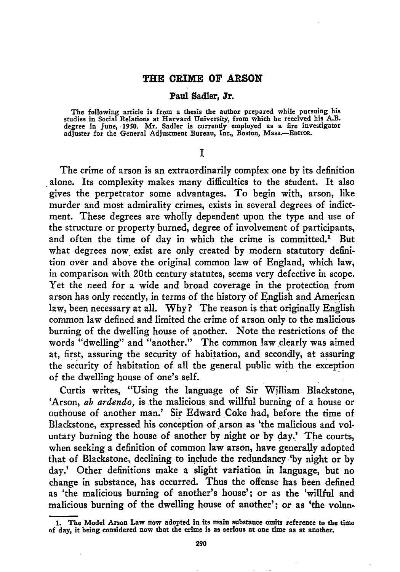#### **THE CRIME OF ARSON**

#### Paul Sadler, Jr.

The following article is from a thesis the author prepared while pursuing his studies in Social Relations at Harvard University, from which he received his A.B. degree in June, **-1950.** Mr. Sadler is currently employed as a fire investigator adjuster for the General Adjustment Bureau, Inc., Boston, **Mass.-EDrroR.**

#### **I**

The crime of arson is an extraordinarily complex one by its definition alone. Its complexity makes many difficulties to the student. It also gives the perpetrator some advantages. To begin with, arson, like murder and most admirality crimes, exists in several degrees of indictment. These degrees are wholly dependent upon the type and use of the structure or property burned, degree of involvement of participants, and often the time of day in which the crime is committed.' But what degrees now exist are only created by modern statutory definition over and above the original common law of England, which law, in comparison with 20th century statutes, seems very defective in scope. Yet the need for a wide and broad coverage in the protection from arson has only recently, in terms of the history of English and American law, been necessary at all. Why? The reason is that originally English common law defined and limited the crime of arson only to the malicious burning of the dwelling house of another. Note the restrictions of the words "dwelling" and "another." The common law dearly was aimed at, first, assuring the security of habitation, and secondly, at assuring the security of habitation of all the general public with the exception of the dwelling house of one's self.

Curtis writes, "Using the language of Sir William Blackstone, 'Arson, *ab ardendo,* is the malicious and willful burning of a house or outhouse of another man.' Sir Edward Coke had, before the time of Blackstone, expressed his conception of arson as 'the malicious and voluntary burning the house of another by night or by day.' The courts, when seeking a definition of common law arson, have generally adopted that of Blackstone, declining to include the redundancy 'by night or by day.' Other definitions make a slight variation in language, but no change in substance, has occurred. Thus the offense has been defined as 'the malicious burning of another's house'; or as the 'willful and malicious burning of the dwelling house of another'; or as 'the volun-

**<sup>1.</sup>** The Model Arson Law now adopted in its main substance omits reference to the time of day, it being considered now that the crime is as serious at one time as at another.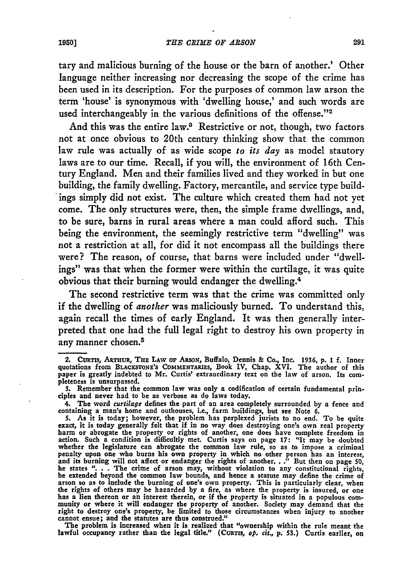tary and malicious burning of the house or the barn of another.' Other language neither increasing nor decreasing the scope of the crime has been used in its description. For the purposes of common law arson the term 'house' is synonymous with 'dwelling house,' and such words are used interchangeably in the various definitions of the offense."<sup>2</sup>

And this was the entire law.<sup>3</sup> Restrictive or not, though, two factors not at once obvious to 20th century thinking show that the common law rule was actually of as wide scope *to its day* as model stautory laws are to our time. Recall, if you will, the environment of 16th Century England. Men and their families lived and they worked in but one building, the family dwelling. Factory, mercantile, and service type buildings simply did not exist. The culture which created them had not yet come. The only structures were, then, the simple frame dwellings, and, to be sure, barns in rural areas where a man could afford such. This being the environment, the seemingly restrictive term "dwelling" was not a restriction at all, for did it not encompass all the buildings there were? The reason, of course, that barns were included under "dwellings" was that when the former were within the curtilage, it was quite obvious that their burning would endanger the dwelling.<sup>4</sup>

The second restrictive term was that the crime was committed only if the dwelling of *another* was maliciously burned. To understand this, again recall the times of early England. It was then generally interpreted that one had the full legal right to destroy his own property in any manner chosen.<sup>5</sup>

lawful occupancy rather than the legal title." (CURTIS, *op. cit.*, *p.* 53.) Curtis earlier, on

**<sup>2.</sup>** CutTis, ARTHuR, **THE LAW Or** ARSON, Buffalo, Dennis & Co., Inc. 1936, **p.** 1 **f.** Inner quotations from **BLACKSTONE'S COMMENTARIES,** Book IV, Chap. XVI. The author of this paper is greatly indebted to Mr. Curtis' extraordinary text on the law of arson. Its completeness is unsurpassed.

**<sup>3.</sup>** Remember that the common law was only a codification of certain fundamental principles and never had to be as verbose as do laws today.

<sup>4.</sup> The word *curtilage* defines the part of an area completely surrounded **by** a fence and

containing a man's home and outhouses, i.e., farm buildings, but see Note 6.<br>5. As it is today; however, the problem has perplexed jurists to no end. To be quite<br>exact, it is today generally felt that if in no way does des action. Such a condition is difficultly met. Curtis says on page 17: "It may be doubted<br>whether the legislature can abrogate the common law rule, so as to impose a crimina penalty upon one who burns his own property in which no other person has an interest<br>and its burning will not affect or endanger the rights of another. . ." But then on page 50,<br>he states "... The crime of arson may, witho the rights of others may be hazarded by a fire, as where the property is insured, or one<br>has a lien thereon or an interest therein, or if the property is situated in a populous com-<br>munity or where it will endanger the pro right to destroy one's property, be limited to those circumstances when injury to another cannot ensue; and the statutes are thus construed." The problem is increased when it is realized that "ownership within the rule meant the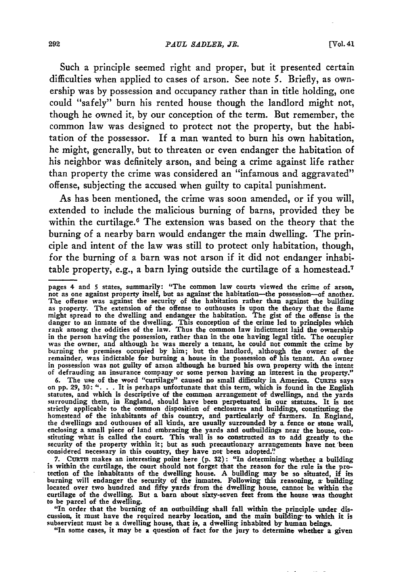Such a principle seemed right and proper, but it presented certain difficulties when applied to cases of arson. See note *5.* Briefly, as ownership was by possession and occupancy rather than in title holding, one could "safely" burn his rented house though the landlord might not, though he owned it, by our conception of the term. But remember, the common law was designed to protect not the property, but the habitation of the possessor. If a man wanted to burn his own habitation, he might, generally, but to threaten or even endanger the habitation of his neighbor was definitely arson, and being a crime against life rather than property the crime was considered an "infamous and aggravated" offense, subjecting the accused when guilty to capital punishment.

As has been mentioned, the crime was soon amended, or if you will, extended to include the malicious burning of barns, provided they be within the curtilage.<sup>6</sup> The extension was based on the theory that the burning of a nearby barn would endanger the main dwelling. The principle and intent of the law was still to protect only habitation, though, for the burning of a barn was not arson if it did not endanger inhabitable property, e.g., a barn lying outside the curtilage of a homestead.<sup>7</sup>

6. The use of the word "curtilage" caused no small difficulty in America. CURTIS says on pp. 29, 30: ". . . It is perhaps unfortunate that this term, which is found in the English statutes, and which is descriptive of the strictly applicable to the common disposition of enclosures and buildings, constituting the homestead of the inhabitants of this country, and particularly of farmers. In England the dwellings and outhouses of all kinds, are usually surrounded **by** a fence or stone wall, enclosing a small piece of land embracing the yards and outbuildings near the house, con-<br>stituting what is called the court. This wall is so constructed as to add greatly to the security of the property within it; but as such precautionary arrangements have **not** been considered necessary in this country, they have not been adopted.'

**7.** CuRTis makes an interesting point here **(p. 32):** "In determining whether a building is within the curtilage, the court should not forget that the reason for the rule is the protection of the inhabitants of the dwelling house. A building may be so situated, if its burning will endanger the security of the inmates. Following this reasoning, a building located over two hundred and fifty yards from the dwelling house, cannot be within the curtilage of the dwelling. But a barn about sixty-seven feet from the house was thought to be parcel of the dwelling.

"In order that the burning of an outbuilding shall fall within the principle- under discussion, it must have the required nearby location, and the main building- to which it is subservient must be a dwelling house, that is, a dwelling inhabited **by** human beings.

"In some cases, it may be a question of fact for the jury to determine whether a given

pages 4 and 5 states, summarily: "The common law courts viewed the crime of arson, not as one against property itself, but as against the habitation—the possession—of another. The offense was against the security of the ha danger to an inmate of the dwelling. This conception of the crime led to principles which rank among the oddities of the law. Thus the common law indictment laid the ownership in the person having the possession, rather than in the one having legal title. The occupies<br>was the owner, and although he was merely a tenant, he could not commit the crime by<br>burning the premises occupied by him; but th remainder, was indictable for burning a house in the possession of his tenant. An owner in possession was not guilty of arson although he burned his own property with the intent of defrauding an insurance company or some person having an interest in the property."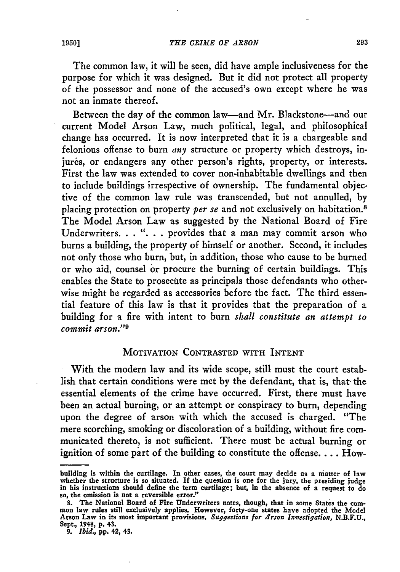The common law, it will be seen, did have ample inclusiveness for the purpose for which it was designed. But it did not protect all property of the possessor and none of the accused's own except where he was not an inmate thereof.

Between the day of the common law—and Mr. Blackstone—and our current Model Arson Law, much political, legal, and philosophical change has occurred. It is now interpreted that it is a chargeable and felonious offense to burn *any* structure or property which destroys, injures, or endangers any other person's rights, property, or interests. First the law was extended to cover non-inhabitable dwellings and then to include buildings irrespective of ownership. The fundamental objective of the common law rule was transcended, but not annulled, by placing protection on property *per se* and not exclusively on habitation.<sup>8</sup> The Model Arson Law as suggested by the National Board of Fire Underwriters...."... provides that a man may commit arson who burns a building, the property of himself or another. Second, it includes not only those who burn, but, in addition, those who cause to be burned or who aid, counsel or procure the burning of certain buildings. This enables the State to prosecite as principals those defendants who otherwise might be regarded as accessories before the fact. The third essential feature of this law is that it provides that the preparation of a building for a fire with intent to burn *shall constitute an attempt to commit arson."9*

# MOTIVATION CONTRASTED WITH INTENT

With the modern law and its wide scope, still must the court establish that certain conditions were met **by** the defendant, that is, that- the essential elements of the crime have occurred. First, there must have been an actual burning, or an attempt or conspiracy to burn, depending upon the degree of arson with which the accused is charged. "The mere scorching, smoking or discoloration of a building, without fire communicated thereto, is not sufficient. There must be actual burning or ignition of some part of the building to constitute the offense.... How-

building is within the curtilage. In other cases, the court may decide as a matter of law<br>whether the structure is so situated. If the question is one for the jury, the presiding judge<br>in his instructions should define the so, the omission is **not** a reversible error."

**S.** The National Board of Fire Underwriters notes, though, that in some States the com- mon law rules still exclusively applies. However, forty-one states have adopted the Model Arson Law in its most important provisions. *Suggestions for Arson investigation,* **N.B.F.U.,** Sept., 1948, **p.** 43.

*<sup>9.</sup> Ibid.,* **pp.** 42, 43.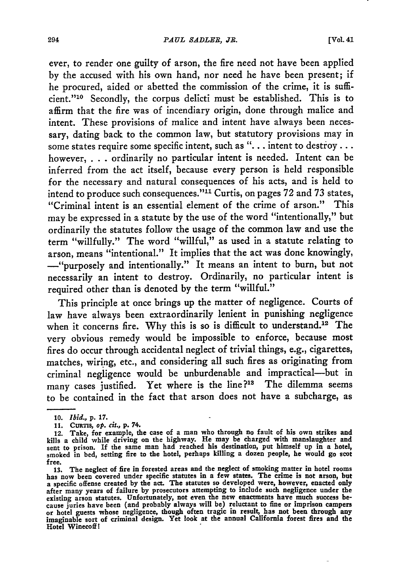ever, to render one guilty of arson, the fire need not have been applied **by** the accused with his own hand, nor need he have been present; if he procured, aided or abetted the commission of the crime, it is sufficient."<sup>10</sup> Secondly, the corpus delicti must be established. This is to affirm that the fire was of incendiary origin, done through malice and intent. These provisions of malice and intent have always been necessary, dating back to the common law, but statutory provisions may in some states require some specific intent, such as **". ..** intent to destroy... however, **...**ordinarily no particular intent is needed. Intent can be inferred from the act itself, because every person is held responsible for the necessary and natural consequences of his acts, and is held to intend to produce such consequences."" Curtis, on pages **72** and **73** states, "Criminal intent is an essential element of the crime of arson." This may be expressed in a statute **by** the use of the word "intentionally," but ordinarily the statutes follow the usage of the common law and use the term "willfully." The word "willful," as used in a statute relating to arson, means "intentional." It implies that the act was done knowingly, -"purposely and intentionally." It means an intent to burn, but not necessarily an intent to destroy. Ordinarily, no particular intent is required other than is denoted **by** the term "willful."

This principle at once brings up the matter of negligence. Courts of law have always been extraordinarily lenient in punishing negligence when it concerns fire. **Why** this is so is difficult to understand.12 The very obvious remedy would be impossible to enforce, because most fires do occur through accidental neglect of trivial things, e.g., cigarettes, matches, wiring, etc., and considering all such fires as originating from criminal negligence would be unburdenable and impractical-but in many cases justified. Yet where is the line?<sup>13</sup> The dilemma seems to be contained in the fact that arson does not have a subcharge, as

**<sup>10.</sup>** *Ibid.,* **p. 17.**

**<sup>11.</sup> CuTis,** *op. cit.,* **p.** 74.

<sup>12.</sup> Take, for example, the case of a man who through no fault of his own strikes and kills a child while driving on the highway. He may be charged with manslaughter and sent to prison. If the same man had reached his destination, put himself up in a hotel, smoked in **bed,** setting fire to the hotel, perhaps killing a dozen people, he would go scot free.

**<sup>13.</sup>** The neglect of fire in forested areas and the neglect of smoking matter in hotel rooms has now been covered under specific statutes in a few states. The crime is not arson, but a specific offense created by the act. The statutes so developed were, however, enacted only after many years of failure by prosecutors attempting to include such negligence under the existing arson statutes. Unfortunately cause juries have been (and probably always will be) reluctant to fine or imprison campers **or** hotel guests whose negligence, though often tragic in result, has not been through any imaginable sort of criminal design. Yet look at the annual California forest fires and the Hotel Winecoff **I**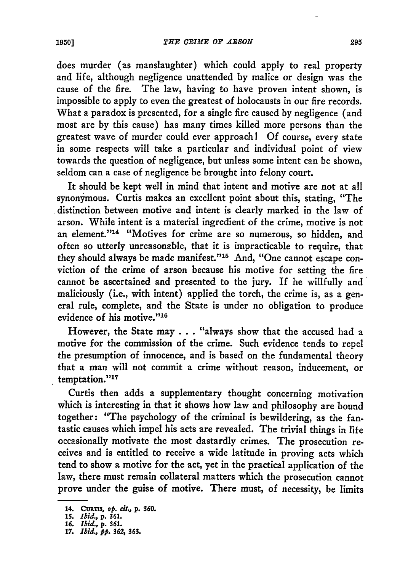does murder (as manslaughter) which could apply to real property and life, although negligence unattended by malice or design was the cause of the fire. The law, having to have proven intent shown, is impossible to apply to even the greatest of holocausts in our fire records. What a paradox is presented, for a single fire caused by negligence (and most are by this cause) has many times killed more persons than the greatest wave of murder could ever approach ! Of course, every state in some respects will take a particular and individual point of view towards the question of negligence, but unless some intent can be shown, seldom can a case of negligence be brought into felony court.

It should be kept well in mind that intent and motive are not at all synonymous. Curtis makes an excellent point about this, stating, "The distinction between motive and intent is clearly marked in the law of arson. While intent is a material ingredient of the crime, motive is not an element."'14 "Motives for crime are so numerous, so hidden, and often so utterly unreasonable, that it is impracticable to require, that they should always be made manifest."<sup>15</sup> And, "One cannot escape conviction of the crime of arson because his motive for setting the fire cannot be ascertained and presented to the jury. If he willfully and maliciously (i.e., with intent) applied the torch, the crime is, as a general rule, complete, and the State is under no obligation to produce evidence of his motive."'<sup>16</sup>

However, the State may ... "always show that the accused had a motive for the commission of the crime. Such evidence tends to repel the presumption of innocence, and is based on the fundamental theory that a man will not commit a crime without reason, inducement, or temptation."<sup>17</sup>

Curtis then adds a supplementary thought concerning motivation which is interesting in that it shows how law and philosophy are bound together: "The psychology of the criminal is bewildering, as the fantastic causes which impel his acts are revealed. The trivial things in life occasionally motivate the most dastardly crimes. The prosecution receives and is entitled to receive a wide latitude in proving acts which tend to show a motive for the act, yet in the practical application of the law, there must remain collateral matters which the prosecution cannot prove under the guise of motive. There must, of necessity, be limits

<sup>14.</sup> CURTIS, op. cit., p. 360.

**<sup>15.</sup>** *Ibid.,* **p. 361.**

**<sup>16.</sup>** *Ibid., p. 6 3. 17. Ibid., P P. 362, 363.*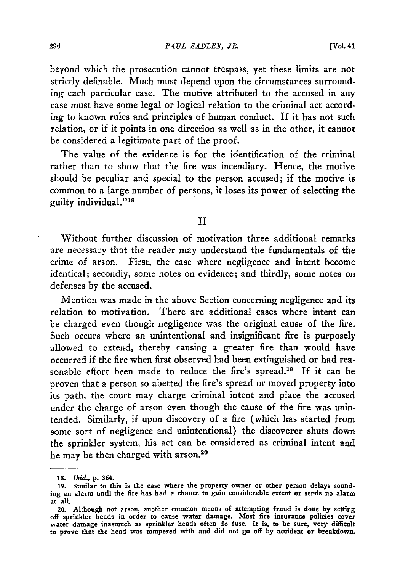beyond which the prosecution cannot trespass, yet these limits are not strictly definable. Much must depend upon the circumstances surrounding each particular case. The motive attributed to the accused in any case must have some legal or logical relation to the criminal act according to known rules and principles of human conduct. If it has not such relation, or if it points in one direction as well as in the other, it cannot be considered a legitimate part of the proof.

The value of the evidence is for the identification of the criminal rather than to show that the fire was incendiary. Hence, the motive should be peculiar and special to the person accused; if the motive is common to a large number of persons, it loses its power of selecting the guilty individual."<sup>18</sup>

## II

Without further discussion of motivation three additional remarks are necessary that the reader may understand the fundamentals of the crime of arson. First, the case where negligence and intent become identical; secondly, some notes on evidence; and thirdly, some notes on defenses by the accused.

Mention was made in the above Section concerning negligence and its relation to motivation. There are additional cases where intent can be charged even though negligence was the original cause of the fire. Such occurs where an unintentional and insignificant fire is purposely allowed to extend, thereby causing a greater fire than would have occurred if the fire when first observed had been extinguished or had reasonable effort been made to reduce the fire's spread.<sup>19</sup> If it can be proven that a person so abetted the fire's spread or moved property into its path, the court may charge criminal intent and place the accused under the charge of arson even though the cause of the fire was unintended. Similarly, if upon discovery of a fire (which has started from some sort of negligence and unintentional) the discoverer shuts down the sprinkler system, his act can be considered as criminal intent and he may be then charged with arson.20

*<sup>19.</sup> Ibid.,* **p.** 364.

**<sup>19.</sup>** Similar **to** this **is the case where the property owner or other person delays sound**ing an alarm until **the** fire has **had** a **chance to gain considerable extent or sends no** alarm at all.

**<sup>20.</sup>** Although **not** arson, another **common means of** attempting fraud **is done by setting** off sprinkler **heads in order to cause water** damage. **Most** fire **insurance policies cover** water damage inasmuch as **sprinkler heads often do fuse.** It **is, to be sure, very difficult to prove that the** head **was** tampered with **and** did **not go off by accident or breakdown.**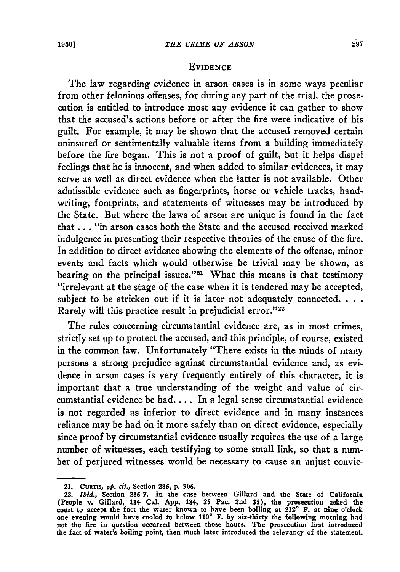### **EVIDENCE**

The law regarding evidence in arson cases is in some ways peculiar from other felonious offenses, for during any part of the trial, the prosecution is entitled to introduce most any evidence it can gather to show that the accused's actions before or after the fire were indicative of his guilt. For example, it may be shown that the accused removed certain uninsured or sentimentally valuable items from a building immediately before the fire began. This is not a proof of guilt, but it helps dispel feelings that he is innocent, and when added to similar evidences, it may serve as well as direct evidence when the latter is not available. Other admissible evidence such as fingerprints, horse or vehicle tracks, handwriting, footprints, and statements of witnesses may be introduced by the State. But where the laws of arson are unique is found in the fact that **. .** . "in arson cases both the State and the accused received marked indulgence in presenting their respective theories of the cause of the fire. In addition to direct evidence showing the elements of the offense, minor events and facts which would otherwise be trivial may be shown, as bearing on the principal issues."<sup>21</sup> What this means is that testimony "irrelevant at the stage of the case when it is tendered may be accepted, subject to be stricken out if it is later not adequately connected. . . . Rarely will this practice result in prejudicial error."22

The rules concerning circumstantial evidence are, as in most crimes, strictly set up to protect the accused, and this principle, of course, existed in the common law. Unfortunately "There exists in the minds of many persons a strong prejudice against circumstantial evidence and, as evidence in arson cases is very frequently entirely of this character, it is important that a true understanding of the weight and value of circumstantial evidence be had.... In a legal sense circumstantial evidence is not regarded as inferior to direct evidence and in many instances reliance may be had on it more safely than on direct evidence, especially since proof by circumstantial evidence usually requires the use of a large number of witnesses, each testifying to some small link, so that a number of perjured witnesses would be necessary to cause an unjust convic-

<sup>21.</sup> **CuRTIS, op.** *cit.,* Section **286, p. 306.**

<sup>22.</sup> *Ibid.,* Section **286-7.** In the case between Gillard and the State of California (People v. Gillard, 134 Cal. **App.** 184, **25** Pac. 2nd **35),** the prosecution asked the court to accept the fact the water known to have been boiling at 2120 F. at nine o'clock one evening would have cooled to below **1100 F. by** six-thirty the following morning had not the fire in question occurred between those hours. The prosecution first introduced the fact of water's boiling point, then much later introduced the relevancy of the statement.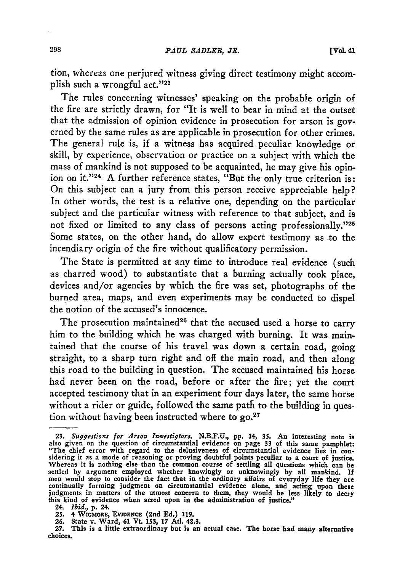tion, whereas one perjured witness giving direct testimony might accomplish such a wrongful act."<sup>23</sup>

The rules concerning witnesses' speaking on the probable origin of the fire are strictly drawn, for "It is well to bear in mind at the outset that the admission of opinion evidence in prosecution for arson is governed by the same rules as are applicable in prosecution for other crimes. The general rule is, if a witness has acquired peculiar knowledge or skill, by experience, observation or practice on a subject with which the mass of mankind is not supposed to be acquainted, he may give his opinion on it."<sup>24</sup> A further reference states, "But the only true criterion is: On this subject can a jury from this person receive appreciable help? In other words, the test is a relative one, depending on the particular subject and the particular witness with reference to that subject, and is not fixed or limited to any class of persons acting professionally."25 Some states, on the other hand, do allow expert testimony as to the incendiary origin of the fire without qualificatory permission.

The State is permitted at any time to introduce real evidence (such as charred wood) to substantiate that a burning actually took place, devices and/or agencies by which the fire was set, photographs of the burned area, maps, and even experiments may be conducted to dispel the notion of the accused's innocence.

The prosecution maintained<sup>26</sup> that the accused used a horse to carry him to the building which he was charged with burning. It was maintained that the course of his travel was down a certain road, going straight, to a sharp turn right and off the main road, and then along this road to the building in question. The accused maintained his horse had never been on the road, before or after the fire; yet the court accepted testimony that in an experiment four days later, the same horse without a rider or guide, followed the same path to the building in question without having been instructed where to **go. <sup>27</sup>**

*<sup>23.</sup> Suggestions for Arson In-jestigtors.* **N.B.F.U, pp. 34, 35. An interesting note is also** given **on the** question **of circumstantial evidence on page** 33 of this **same pamphlet:** "The **chief error with** regard **to the delusiveness of circumstantial** evidence **lies in con-** sidering it **as a mode of reasoning or proving** doubtful **points peculiar to a court of justice.** Whereas **it is** nothing **else than the common course of settling all questions which can be** settled by argument employed whether knowingly or unknowingly by all mankind. If<br>men would stop to consider the fact that in the ordinary affairs of everyday life they are<br>continually forming judgment on circumstantial evi **this kind of evidence when acted upon in the administration of justice."**

<sup>24.</sup> *Ibid.,* **p. 24.**

**<sup>25.</sup>** 4 **WIGMORE, EVmENCE (2nd Ed.) 119. 26. State** v. **Ward, 61 Vt. 153, 17 At. 4S.3.**

**<sup>27.</sup>** This is a little extraordinary but is an actual case. The horse had many alternative **choices.**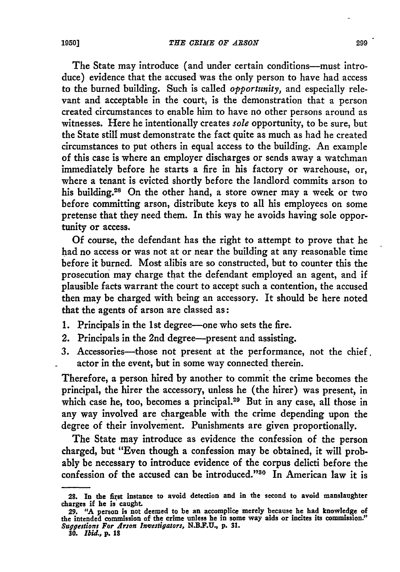The State may introduce (and under certain conditions--must introduce) evidence that the accused was the only person to have had access to the burned building. Such is called *opportunity,* and especially relevant and acceptable in the court, is the demonstration that a person created circumstances to enable him to have no other persons around as witnesses. Here he intentionally creates *sole* opportunity, to be sure, but the State still must demonstrate the fact quite as much as had he created circumstances to put others in equal access to the building. An example of this case is where an employer discharges or sends away a watchman immediately before he starts a fire in his factory or warehouse, or, where a tenant is evicted shortly before the landlord commits arson to his building.<sup>28</sup> On the other hand, a store owner may a week or two before committing arson, distribute keys to all his employees on some pretense that they need them. In this way he avoids having sole opportunity or access.

Of course, the defendant has the right to attempt to prove that he had no access or was not at or near the building at any reasonable time before it burned. Most alibis are so constructed, but to counter this the prosecution may charge that the defendant employed an agent, and if plausible facts warrant the court to accept such a contention, the accused then may be charged with being an accessory. It should be here noted that the agents of arson are classed as:

- 1. Principals in the 1st degree-one who sets the fire.
- 2. Principals in the 2nd degree--present and assisting.
- 3. Accessories-those not present at the performance, not the chief. actor in the event, but in some way connected therein.

Therefore, a person hired **by** another to commit the crime becomes the principal, the hirer the accessory, unless he (the hirer) was present, in which case he, too, becomes a principal.<sup>29</sup> But in any case, all those in any way involved are chargeable with the crime depending upon the degree of their involvement. Punishments are given proportionally.

The State may introduce as evidence the confession of the person charged, but "Even though a confession may be obtained, it will probably be necessary to introduce evidence of the corpus delicti before the confession of the accused can be introduced." $30$  In American law it is

**<sup>28.</sup> In the first instance to avoid detection and in the second to avoid manslaughter charges if he is caught.**

**<sup>29. &</sup>quot;A person is not deemed to be an accomplice merely because he had knowledge of the intended commission of the crime unless he in some way aids or incites its commission."** *Suggestions For Arson* **Investigators, N.B.F.U., p. 31.**

*<sup>30.</sup> Ibid.,* **p. 18**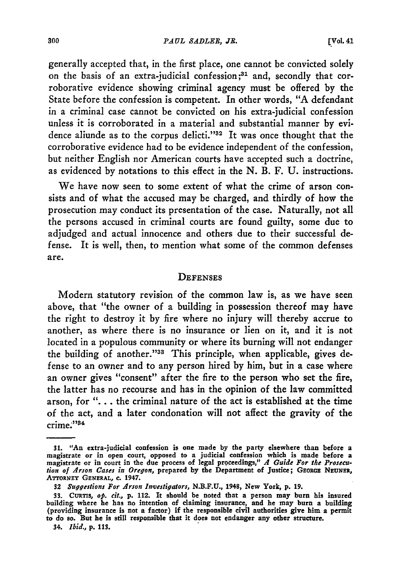*PAUL SADLEB, JB.*

generally accepted that, in the first place, one cannot be convicted solely on the basis of an extra-judicial confession;<sup>31</sup> and, secondly that corroborative evidence showing criminal agency must be offered by the State before the confession is competent. In other words, "A defendant in a criminal case cannot be convicted on his extra-judicial confession unless it is corroborated in a material and substantial manner by evidence aliunde as to the corpus delicti."<sup>32</sup> It was once thought that the corroborative evidence had to be evidence independent of the confession, but neither English nor American courts have accepted such a doctrine, as evidenced by notations to this effect in the N. B. F. U. instructions.

We have now seen to some extent of what the crime of arson consists and of what the accused may be charged, and thirdly of how the prosecution may conduct its presentation of the case. Naturally, not all the persons accused in criminal courts are found guilty, some due to adjudged and actual innocence and others due to their successful defense. It is well, then, to mention what some of the common defenses are.

### **DEFENSES**

Modern statutory revision of the common law is, as we have seen above, that "the owner of a building in possession thereof may have the right to destroy it by fire where no injury will thereby accrue to another, as where there is no insurance or lien on it, and it is not located in a populous community or where its burning will not endanger the building of another."38 This principle, when applicable, gives defense to an owner and to any person hired by him, but in a case where an owner gives "consent" after the fire to the person who set the fire, the latter has no recourse and has in the opinion of the law committed arson, for **"....** the criminal nature of the act is established at the time of the act, and a later condonation will not affect the gravity of the crime."1<sup>4</sup>

*<sup>31.</sup>* "An extra-judicial confession is one made **by** the party elsewhere than before a magistrate or in open court, opposed to a judicial confession which is made before a magistrate or in court in the due process of legal proceedings," *A Guide For the Prosecution of Arson Cases in Oregon,* prepared **by** the Department of Justice; **GEoRGE NEUNER,** ATTORNEY **GENERAL, C.** 1947.

*<sup>32</sup> Suggestions For Arson Investigators,* **N.B.F.U.,** 1948, New York, **p. 19.**

**<sup>33.</sup>** CuRTs, *op. cilt.,* **p.** 112. It should be noted that a person may burn his insured building where he has no intention of claiming insurance, and he may burn a building (providing insurance is not a factor) if the responsible civil authorities give him a permit to do so. But he is still responsible that it does not endanger any other structure.

*<sup>34.</sup> Ibid.,* **p.** 113.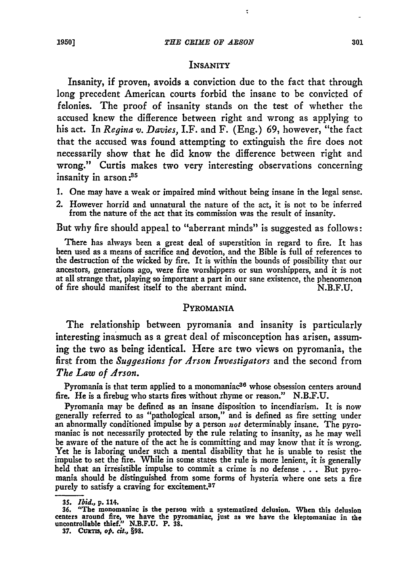$\ddot{\phantom{0}}$ 

#### INSANITY

Insanity, if proven, avoids a conviction due to the fact that through long precedent American courts forbid the insane to be convicted of felonies. The proof of insanity stands on the test of whether the accused knew the difference between right and wrong as applying to his act. In *Regina v. Davies,* I.F. and F. (Eng.) 69, however, "the fact that the accused was found attempting to extinguish the fire does not necessarily show that he did know the difference between right and wrong." Curtis makes two very interesting observations concerning insanity in arson **:85**

- 1. One may have a weak or impaired mind without being insane in the legal sense.
- 2. However horrid and unnatural the nature of the act, it is not to be inferred from the nature of the act that its commission was the result of insanity.

But why fire should appeal to "aberrant minds" is suggested as follows:

There has always been a great deal of superstition in regard to fire. It has been used as a means of sacrifice and devotion, and the Bible is full of references to the destruction of the wicked by fire. It is within the bounds of possibility that our ancestors, generations ago, were fire worshippers or sun worshippers, and it is not at all strange that, playing so important a part in our sane existence, the phenomenon of fire should manifest itself to the aberrant mind. N.B.F.U.

#### PYROMANIA

The relationship between pyromania and insanity is particularly interesting inasmuch as a great deal of misconception has arisen, assuming the two as being identical. Here are two views on pyromania, the first from the *Suggestions for Arson Investigators* and the second from *The Law of Arson.*

Pyromania is that term applied to a monomaniac<sup>36</sup> whose obsession centers around fire. He is a firebug who starts fires without rhyme or reason." **N.B.F.U.**

Pyromania may **be** defined as an insane disposition to incendiarism. It is now generally referred to as "pathological arson," and is defined as fire setting under an abnormally conditioned impulse **by** a person not determinably insane. The pyro- maniac is not necessarily protected **by** the rule relating to insanity, as he may well be aware of the nature of the act he is committing and may know that it is wrong. Yet he is laboring under such a mental disability that he is unable to resist the impulse to set the fire. While in some states the rule is more lenient, it is generally held that an irresistible impulse to commit a crime is no defense  $\ldots$ . But pyromania should be distinguished from some forms of hys purely **to** satisfy a **craving for** excitement.<sup>37</sup>

*<sup>35.</sup> Ibid.,* **p.** 114. **36.** "The **monomaniac** is the person with a systematized **delusion. When** this delusion **centers around** fire, **we** have the pyromaniac, just as we have **the** kleptomaniac **in the** uncontrollable thief." **N.B.F.U. P. 38.**

**<sup>37.</sup> Ctnris,** *ot. cit.,* **§98.**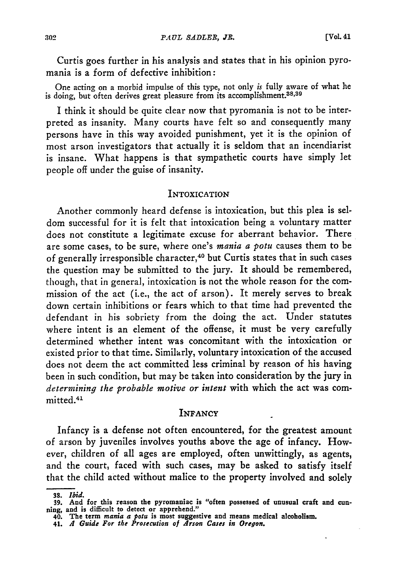Curtis goes further in his analysis and states that in his opinion pyromania is a form of defective inhibition:

One acting on a morbid impulse of this type, not only *is* fully aware of what he is doing, but often derives great pleasure from its accomplishment.<sup>38,39</sup>

I think it should be quite clear now that pyromania is not to be interpreted as insanity. Many courts have felt so and consequently many persons have in this way avoided punishment, yet it is the opinion of most arson investigators that actually it is seldom that an incendiarist is insane. What happens is that sympathetic courts have simply let people off under the guise of insanity.

# **INTOXICATION**

Another commonly heard defense is intoxication, but this plea is seldom successful for it is felt that intoxication being a voluntary matter does not constitute a legitimate excuse for aberrant behavior. There are some cases, to be sure, where one's *mania a potu* causes them to be of generally irresponsible character, 40 but Curtis states that in such cases the question may be submitted to the jury. It should be remembered, though, that in general, intoxication is not the whole reason for the commission of the act (i.e., the act of arson). It merely serves to break down certain inhibitions or fears which to that time had prevented the defendant in his sobriety from the doing the act. Under statutes where intent is an element of the offense, it must be very carefully determined whether intent was concomitant with the intoxication or existed prior to that time. Similarly, voluntary intoxication of the accused does not deem the act committed less criminal by reason of his having been in such condition, but may be taken into consideration by the jury in *determining the probable motive or intent* with which the act was committed.<sup>41</sup>

## **INFANCY**

Infancy is a defense not often encountered, for the greatest amount of arson **by** juveniles involves youths above the age of infancy. However, children of all ages are employed, often unwittingly, as agents, and the court, faced with such cases, may be asked to satisfy itself that the child acted without malice to the property involved and solely

*<sup>38.</sup> Ibid.*

**<sup>39.</sup> And for this reason the pyromaniac is "often possessed of unusual craft and cun- ning, and is difficult to detect or apprehend."**

**<sup>40.</sup> The term** *mania a potu* **is most suggestive and means medical alcoholism.**

**<sup>41.</sup>** *A Guide For the Prosecution of Arson Cases in Oregon.*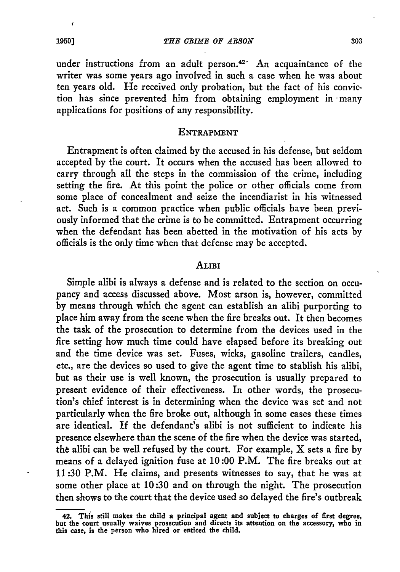under instructions from an adult person.<sup>42-</sup> An acquaintance of the writer was some years ago involved in such a case when he was about ten years old. He received only probation, but the fact of his conviction has since prevented him from obtaining employment in -many applications for positions of any responsibility.

### **ENTRAPMENT**

Entrapment is often claimed by the accused in his defense, but seldom accepted by the court. It occurs when the accused has been allowed to carry through all the steps in the commission of the crime, including setting the fire. At this point the police or other officials come from some place of concealment and seize the incendiarist in his witnessed act. Such is a common practice when public officials have been previously informed that the crime is to be committed. Entrapment occurring when the defendant has been abetted in the motivation of his acts by officials is the only time when that defense may be accepted.

#### **ALIBI**

Simple alibi is always a defense and is related to the section on occupancy and access discussed above. Most arson is, however, committed by means through which the agent can establish an alibi purporting to place him away from the scene when the fire breaks out. It then becomes the task of the prosecution to determine from the devices used in the fire setting how much time could have elapsed before its breaking out and the time device was set. Fuses, wicks, gasoline trailers, candles, etc., are the devices so used to give the agent time to stablish his alibi, but as their use is well known, the prosecution is usually prepared to present evidence of their effectiveness. In other words, the prosecution's chief interest is in determining when the device was set and not particularly when the fire broke out, although in some cases these times are identical. If the defendant's alibi is not sufficient to indicate his presence elsewhere than the scene of the fire when the device was started, the alibi can be well refused by the court. For example,  $X$  sets a fire by means of a delayed ignition fuse at 10:00 P.M. The fire breaks out at 11:30 P.M. He claims, and presents witnesses to say, that he was at some other place at 10:30 and on through the night. The prosecution then shows to the court that the device used so delayed the fire's outbreak

 $\epsilon$ 

**<sup>42.</sup> This still makes the child a principal agent and subject to charges of first degree, but the court usually waives prosecution and directs its attention on the accessory, who in this case, is the person who hired or enticed the child.**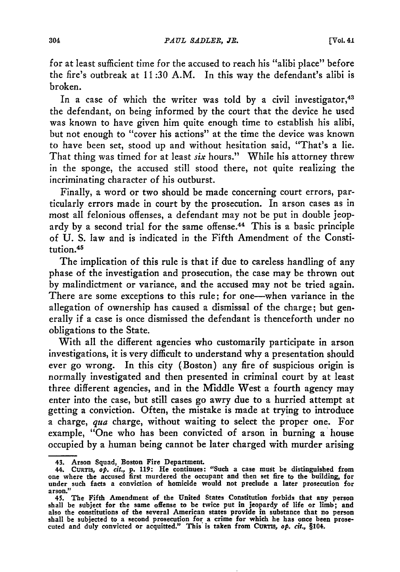for at least sufficient time for the accused to reach his "alibi place" before the fire's outbreak at 11:30 A.M. In this way the defendant's alibi is broken.

In a case of which the writer was told by a civil investigator,  $43$ the defendant, on being informed by the court that the device he used was known to have given him quite enough time to establish his alibi, but not enough to "cover his actions" at the time the device was known to have been set, stood up and without hesitation said, "That's a lie. That thing was timed for at least *six* hours." While his attorney threw in the sponge, the accused still stood there, not quite realizing the incriminating character of his outburst.

Finally, a word or two should be made concerning court errors, particularly errors made in court by the prosecution. In arson cases as in most all felonious offenses, a defendant may not be put in double jeopardy by a second trial for the same offense.<sup>44</sup> This is a basic principle of U. S. law and is indicated in the Fifth Amendment of the Constitution.45

The implication of this rule is that if due to careless handling of any phase of the investigation and prosecution, the case may be thrown out by malindictment or variance, and the accused may not be tried again. There are some exceptions to this rule; for one-when variance in the allegation of ownership has caused a dismissal of the charge; but generally if a case is once dismissed the defendant is thenceforth under no obligations to the State.

With all the different agencies who customarily participate in arson investigations, it is very difficult to understand why a presentation should ever go wrong. In this city (Boston) **any** fire of suspicious origin is normally investigated and then presented in criminal court **by** at least three different agencies, and in the Middle West a fourth agency may enter into the case, but still cases go awry due to a hurried attempt at getting a conviction. Often, the mistake is made at trying to introduce a charge, *qua* charge, without waiting to select the proper one. For example, "One who has been convicted of arson in burning a house occupied **by** a human being cannot be later charged with murder arising

<sup>43.</sup> Arson Squad, Boston Fire Department.<br>44. CURTIS, *op. cit.*, p. 119: He continues: "Such a case must be distinguished from<br>one where the accused first murdered the occupant and then set fire to the building, for **under such facts a conviction of homicide would not preclude a later prosecution for arson."**

**<sup>45.</sup> The Fifth Amendment of the United States Constitution forbids that any person shall be subject for the same offense to be twice put in jeopardy of life or limb; and also the constitutions of the several American states provide in substance that no person shall be subjected to a second prosecution for a crime for which he has once been prose**cuted and duly convicted or acquitted." This is taken from CURTIS, op. cit., §104.